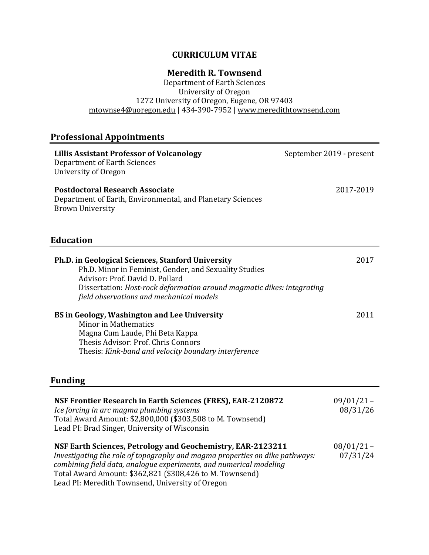#### **CURRICULUM VITAE**

#### **Meredith R. Townsend**

Department of Earth Sciences University of Oregon 1272 University of Oregon, Eugene, OR 97403 <u>mtownse4@uoregon.edu</u> | 434-390-7952 | <u>www.meredithtownsend.com</u>

# **Professional Appointments**

| <b>Lillis Assistant Professor of Volcanology</b><br><b>Department of Earth Sciences</b><br>University of Oregon                                                                                                                                                                                                                  | September 2019 - present |
|----------------------------------------------------------------------------------------------------------------------------------------------------------------------------------------------------------------------------------------------------------------------------------------------------------------------------------|--------------------------|
| <b>Postdoctoral Research Associate</b><br>Department of Earth, Environmental, and Planetary Sciences<br><b>Brown University</b>                                                                                                                                                                                                  | 2017-2019                |
| <b>Education</b>                                                                                                                                                                                                                                                                                                                 |                          |
| Ph.D. in Geological Sciences, Stanford University<br>Ph.D. Minor in Feminist, Gender, and Sexuality Studies<br>Advisor: Prof. David D. Pollard<br>Dissertation: Host-rock deformation around magmatic dikes: integrating<br>field observations and mechanical models                                                             | 2017                     |
| BS in Geology, Washington and Lee University<br><b>Minor in Mathematics</b><br>Magna Cum Laude, Phi Beta Kappa<br>Thesis Advisor: Prof. Chris Connors<br>Thesis: Kink-band and velocity boundary interference                                                                                                                    | 2011                     |
| Funding                                                                                                                                                                                                                                                                                                                          |                          |
| NSF Frontier Research in Earth Sciences (FRES), EAR-2120872<br>Ice forcing in arc magma plumbing systems<br>Total Award Amount: \$2,800,000 (\$303,508 to M. Townsend)<br>Lead PI: Brad Singer, University of Wisconsin                                                                                                          | $09/01/21 -$<br>08/31/26 |
| NSF Earth Sciences, Petrology and Geochemistry, EAR-2123211<br>Investigating the role of topography and magma properties on dike pathways:<br>combining field data, analogue experiments, and numerical modeling<br>Total Award Amount: \$362,821 (\$308,426 to M. Townsend)<br>Lead PI: Meredith Townsend, University of Oregon | $08/01/21 -$<br>07/31/24 |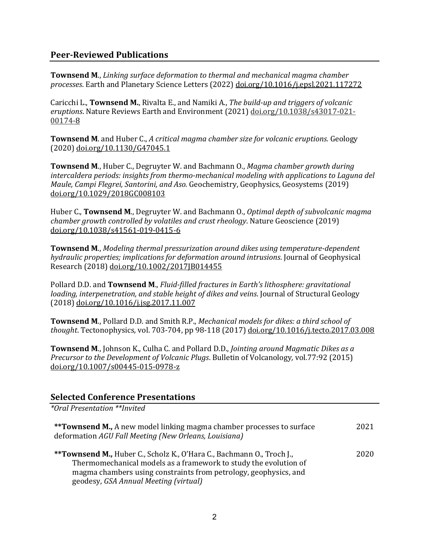## **Peer-Reviewed Publications**

**Townsend M.,** *Linking surface deformation to thermal and mechanical magma chamber processes*. Earth and Planetary Science Letters (2022) doi.org/10.1016/j.epsl.2021.117272

Caricchi L., **Townsend M.**, Rivalta E., and Namiki A., *The build-up and triggers of volcanic eruptions*. Nature Reviews Earth and Environment (2021) doi.org/10.1038/s43017-021-00174-8

**Townsend M.** and Huber C., *A critical magma chamber size for volcanic eruptions.* Geology (2020) doi.org/10.1130/G47045.1

**Townsend M., Huber C., Degruyter W. and Bachmann O.,** *Magma chamber growth during intercaldera periods: insights from thermo-mechanical modeling with applications to Laguna del Maule, Campi Flegrei, Santorini, and Aso.* Geochemistry, Geophysics, Geosystems (2019) doi.org/10.1029/2018GC008103

Huber C., **Townsend M.**, Degruyter W. and Bachmann O., *Optimal depth of subvolcanic magma chamber growth controlled by volatiles and crust rheology*. Nature Geoscience (2019) doi.org/10.1038/s41561-019-0415-6

**Townsend M.**, *Modeling thermal pressurization around dikes using temperature-dependent hydraulic properties; implications for deformation around intrusions.* Journal of Geophysical Research (2018) doi.org/10.1002/2017JB014455

Pollard D.D. and **Townsend M.**, *Fluid-filled fractures in Earth's lithosphere: gravitational loading, interpenetration, and stable height of dikes and veins.* Journal of Structural Geology (2018) doi.org/10.1016/j.jsg.2017.11.007

**Townsend M., Pollard D.D.** and Smith R.P., *Mechanical models for dikes: a third school of thought*. Tectonophysics*,* vol. 703-704, pp 98-118 (2017) doi.org/10.1016/j.tecto.2017.03.008

**Townsend M., Johnson K., Culha C.** and Pollard D.D., *Jointing around Magmatic Dikes as a Precursor to the Development of Volcanic Plugs.* Bulletin of Volcanology, vol.77:92 (2015) doi.org/10.1007/s00445-015-0978-z

#### **Selected Conference Presentations**

*\*Oral Presentation \*\*Invited* **\*\*Townsend M.,** A new model linking magma chamber processes to surface deformation *AGU Fall Meeting (New Orleans, Louisiana)* 

**\*\*Townsend M., Huber C., Scholz K., O'Hara C., Bachmann O., Troch J.,** Thermomechanical models as a framework to study the evolution of magma chambers using constraints from petrology, geophysics, and geodesy, *GSA Annual Meeting (virtual)* 2020

2021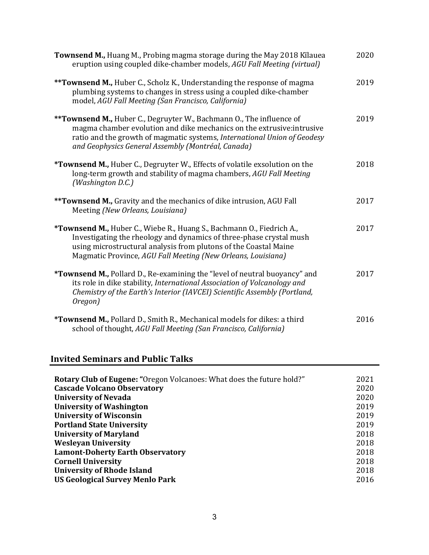| Townsend M., Huang M., Probing magma storage during the May 2018 Kilauea<br>eruption using coupled dike-chamber models, AGU Fall Meeting (virtual)                                                                                                                               | 2020 |
|----------------------------------------------------------------------------------------------------------------------------------------------------------------------------------------------------------------------------------------------------------------------------------|------|
| <b>**Townsend M., Huber C., Scholz K., Understanding the response of magma</b><br>plumbing systems to changes in stress using a coupled dike-chamber<br>model, AGU Fall Meeting (San Francisco, California)                                                                      | 2019 |
| **Townsend M., Huber C., Degruyter W., Bachmann O., The influence of<br>magma chamber evolution and dike mechanics on the extrusive: intrusive<br>ratio and the growth of magmatic systems, International Union of Geodesy<br>and Geophysics General Assembly (Montréal, Canada) | 2019 |
| *Townsend M., Huber C., Degruyter W., Effects of volatile exsolution on the<br>long-term growth and stability of magma chambers, AGU Fall Meeting<br>(Washington D.C.)                                                                                                           | 2018 |
| ** Townsend M., Gravity and the mechanics of dike intrusion, AGU Fall<br>Meeting (New Orleans, Louisiana)                                                                                                                                                                        | 2017 |
| *Townsend M., Huber C., Wiebe R., Huang S., Bachmann O., Fiedrich A.,<br>Investigating the rheology and dynamics of three-phase crystal mush<br>using microstructural analysis from plutons of the Coastal Maine<br>Magmatic Province, AGU Fall Meeting (New Orleans, Louisiana) | 2017 |
| *Townsend M., Pollard D., Re-examining the "level of neutral buoyancy" and<br>its role in dike stability, International Association of Volcanology and<br>Chemistry of the Earth's Interior (IAVCEI) Scientific Assembly (Portland,<br>Oregon)                                   | 2017 |
| *Townsend M., Pollard D., Smith R., Mechanical models for dikes: a third<br>school of thought, AGU Fall Meeting (San Francisco, California)                                                                                                                                      | 2016 |

## **Invited Seminars and Public Talks**

| <b>Rotary Club of Eugene: "Oregon Volcanoes: What does the future hold?"</b> | 2021 |
|------------------------------------------------------------------------------|------|
| <b>Cascade Volcano Observatory</b>                                           | 2020 |
| <b>University of Nevada</b>                                                  | 2020 |
| <b>University of Washington</b>                                              | 2019 |
| <b>University of Wisconsin</b>                                               | 2019 |
| <b>Portland State University</b>                                             | 2019 |
| <b>University of Maryland</b>                                                | 2018 |
| <b>Wesleyan University</b>                                                   | 2018 |
| <b>Lamont-Doherty Earth Observatory</b>                                      | 2018 |
| <b>Cornell University</b>                                                    | 2018 |
| <b>University of Rhode Island</b>                                            | 2018 |
| <b>US Geological Survey Menlo Park</b>                                       | 2016 |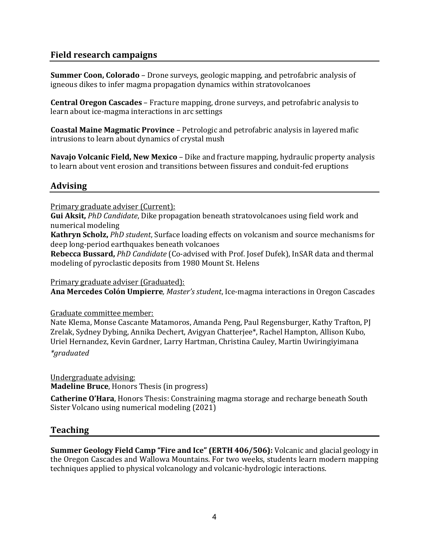## **Field research campaigns**

**Summer Coon, Colorado** – Drone surveys, geologic mapping, and petrofabric analysis of igneous dikes to infer magma propagation dynamics within stratovolcanoes

**Central Oregon Cascades** – Fracture mapping, drone surveys, and petrofabric analysis to learn about ice-magma interactions in arc settings

**Coastal Maine Magmatic Province** – Petrologic and petrofabric analysis in layered mafic intrusions to learn about dynamics of crystal mush

**Navajo Volcanic Field, New Mexico** – Dike and fracture mapping, hydraulic property analysis to learn about vent erosion and transitions between fissures and conduit-fed eruptions

## **Advising**

Primary graduate adviser (Current):

**Gui Aksit,** *PhD Candidate*, Dike propagation beneath stratovolcanoes using field work and numerical modeling

Kathryn Scholz, *PhD student*, Surface loading effects on volcanism and source mechanisms for deep long-period earthquakes beneath volcanoes

**Rebecca Bussard,** *PhD Candidate* (Co-advised with Prof. Josef Dufek), InSAR data and thermal modeling of pyroclastic deposits from 1980 Mount St. Helens

Primary graduate adviser (Graduated): **Ana Mercedes Colón Umpierre**, *Master's student*, Ice-magma interactions in Oregon Cascades

Graduate committee member:

Nate Klema, Monse Cascante Matamoros, Amanda Peng, Paul Regensburger, Kathy Trafton, PJ Zrelak, Sydney Dybing, Annika Dechert, Avigyan Chatterjee\*, Rachel Hampton, Allison Kubo, Uriel Hernandez, Kevin Gardner, Larry Hartman, Christina Cauley, Martin Uwiringiyimana *\*graduated*

Undergraduate advising: **Madeline Bruce**, Honors Thesis (in progress)

**Catherine O'Hara**, Honors Thesis: Constraining magma storage and recharge beneath South Sister Volcano using numerical modeling (2021)

#### **Teaching**

**Summer Geology Field Camp "Fire and Ice" (ERTH 406/506):** Volcanic and glacial geology in the Oregon Cascades and Wallowa Mountains. For two weeks, students learn modern mapping techniques applied to physical volcanology and volcanic-hydrologic interactions.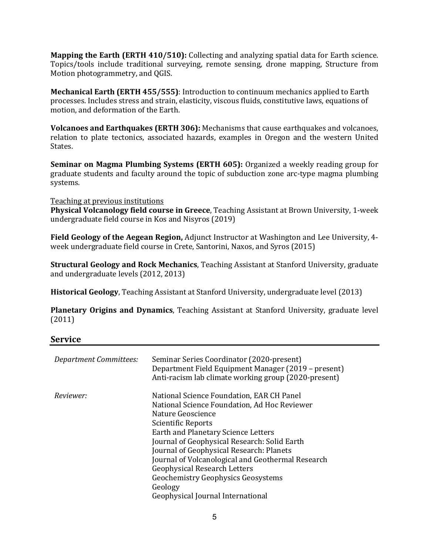**Mapping the Earth (ERTH 410/510):** Collecting and analyzing spatial data for Earth science. Topics/tools include traditional surveying, remote sensing, drone mapping, Structure from Motion photogrammetry, and QGIS.

**Mechanical Earth (ERTH 455/555):** Introduction to continuum mechanics applied to Earth processes. Includes stress and strain, elasticity, viscous fluids, constitutive laws, equations of motion, and deformation of the Earth.

**Volcanoes and Earthquakes (ERTH 306):** Mechanisms that cause earthquakes and volcanoes, relation to plate tectonics, associated hazards, examples in Oregon and the western United States. 

**Seminar on Magma Plumbing Systems (ERTH 605):** Organized a weekly reading group for graduate students and faculty around the topic of subduction zone arc-type magma plumbing systems.

Teaching at previous institutions

**Physical Volcanology field course in Greece**, Teaching Assistant at Brown University, 1-week undergraduate field course in Kos and Nisyros (2019)

**Field Geology of the Aegean Region, Adjunct Instructor at Washington and Lee University, 4**week undergraduate field course in Crete, Santorini, Naxos, and Syros (2015)

**Structural Geology and Rock Mechanics**, Teaching Assistant at Stanford University, graduate and undergraduate levels (2012, 2013)

**Historical Geology**, Teaching Assistant at Stanford University, undergraduate level (2013)

**Planetary Origins and Dynamics**, Teaching Assistant at Stanford University, graduate level (2011)

#### **Service**

| <b>Department Committees:</b> | Seminar Series Coordinator (2020-present)<br>Department Field Equipment Manager (2019 – present)<br>Anti-racism lab climate working group (2020-present)                             |
|-------------------------------|--------------------------------------------------------------------------------------------------------------------------------------------------------------------------------------|
| Reviewer:                     | National Science Foundation, EAR CH Panel<br>National Science Foundation, Ad Hoc Reviewer<br>Nature Geoscience<br>Scientific Reports                                                 |
|                               | Earth and Planetary Science Letters<br>Journal of Geophysical Research: Solid Earth<br>Journal of Geophysical Research: Planets<br>Journal of Volcanological and Geothermal Research |
|                               | <b>Geophysical Research Letters</b><br><b>Geochemistry Geophysics Geosystems</b><br>Geology<br>Geophysical Journal International                                                     |